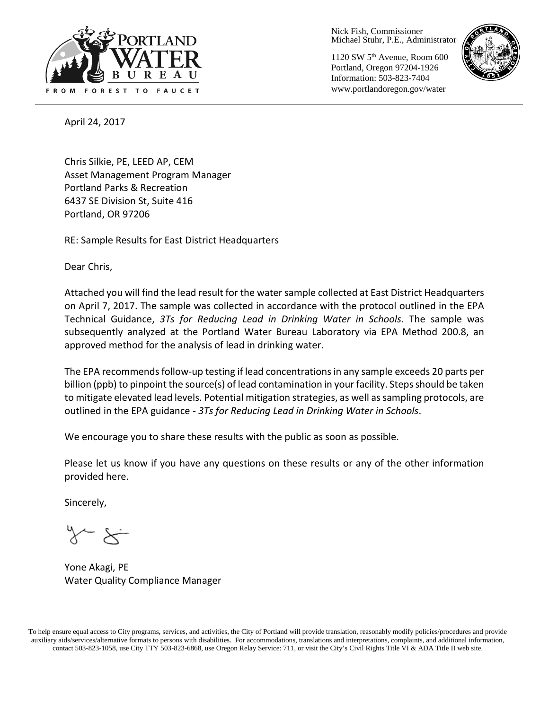

Nick Fish, Commissioner Michael Stuhr, P.E., Administrator

1120 SW 5th Avenue, Room 600 Portland, Oregon 97204-1926 Information: 503-823-7404 www.portlandoregon.gov/water



April 24, 2017

Chris Silkie, PE, LEED AP, CEM Asset Management Program Manager Portland Parks & Recreation 6437 SE Division St, Suite 416 Portland, OR 97206

RE: Sample Results for East District Headquarters

Dear Chris,

Attached you will find the lead result for the water sample collected at East District Headquarters on April 7, 2017. The sample was collected in accordance with the protocol outlined in the EPA Technical Guidance, *3Ts for Reducing Lead in Drinking Water in Schools*. The sample was subsequently analyzed at the Portland Water Bureau Laboratory via EPA Method 200.8, an approved method for the analysis of lead in drinking water.

The EPA recommends follow-up testing if lead concentrations in any sample exceeds 20 parts per billion (ppb) to pinpoint the source(s) of lead contamination in your facility. Steps should be taken to mitigate elevated lead levels. Potential mitigation strategies, as well as sampling protocols, are outlined in the EPA guidance - *3Ts for Reducing Lead in Drinking Water in Schools*.

We encourage you to share these results with the public as soon as possible.

Please let us know if you have any questions on these results or any of the other information provided here.

Sincerely,

Yone Akagi, PE Water Quality Compliance Manager

To help ensure equal access to City programs, services, and activities, the City of Portland will provide translation, reasonably modify policies/procedures and provide auxiliary aids/services/alternative formats to persons with disabilities. For accommodations, translations and interpretations, complaints, and additional information, contact 503-823-1058, use City TTY 503-823-6868, use Oregon Relay Service: 711, or visi[t the City's Civil Rights Title VI & ADA Title II web site.](http://www.portlandoregon.gov/oehr/66458)